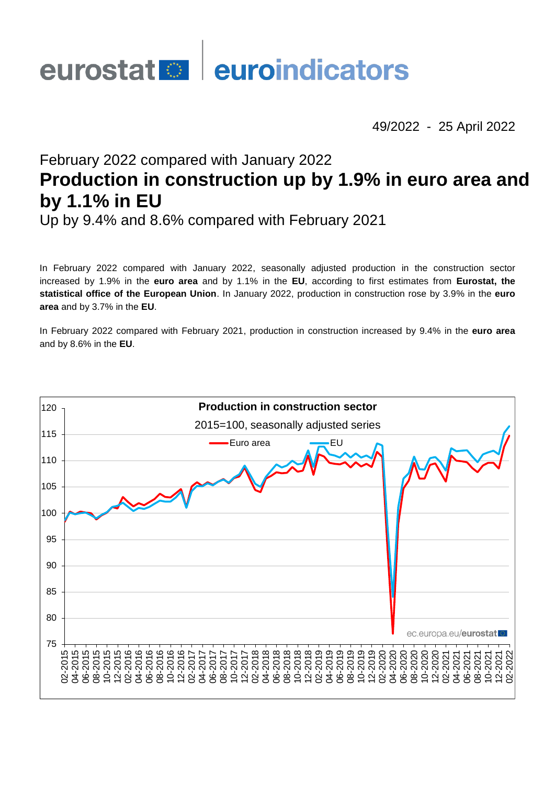# eurostat **de la euroindicators**

49/2022 - 25 April 2022

# February 2022 compared with January 2022 **Production in construction up by 1.9% in euro area and by 1.1% in EU**

Up by 9.4% and 8.6% compared with February 2021

In February 2022 compared with January 2022, seasonally adjusted production in the construction sector increased by 1.9% in the **euro area** and by 1.1% in the **EU**, according to first estimates from **Eurostat, the statistical office of the European Union**. In January 2022, production in construction rose by 3.9% in the **euro area** and by 3.7% in the **EU**.

In February 2022 compared with February 2021, production in construction increased by 9.4% in the **euro area** and by 8.6% in the **EU**.

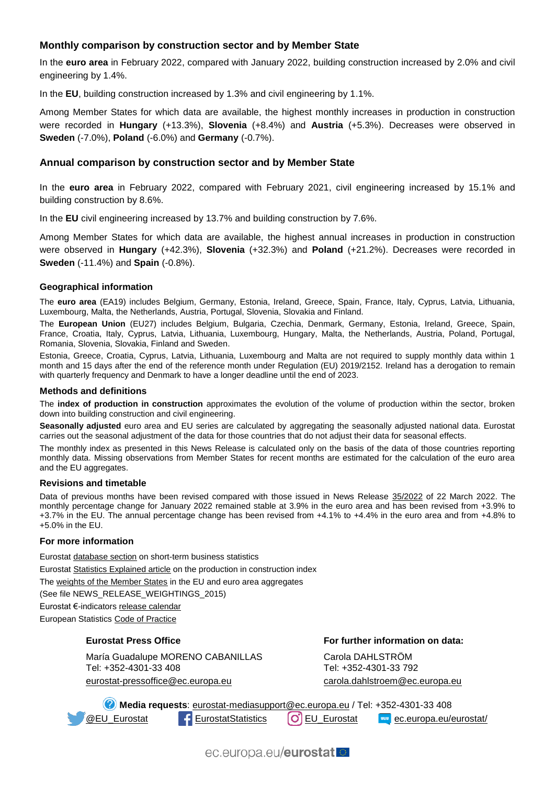# **Monthly comparison by construction sector and by Member State**

In the **euro area** in February 2022, compared with January 2022, building construction increased by 2.0% and civil engineering by 1.4%.

In the **EU**, building construction increased by 1.3% and civil engineering by 1.1%.

Among Member States for which data are available, the highest monthly increases in production in construction were recorded in **Hungary** (+13.3%), **Slovenia** (+8.4%) and **Austria** (+5.3%). Decreases were observed in **Sweden** (-7.0%), **Poland** (-6.0%) and **Germany** (-0.7%).

### **Annual comparison by construction sector and by Member State**

In the **euro area** in February 2022, compared with February 2021, civil engineering increased by 15.1% and building construction by 8.6%.

In the **EU** civil engineering increased by 13.7% and building construction by 7.6%.

Among Member States for which data are available, the highest annual increases in production in construction were observed in **Hungary** (+42.3%), **Slovenia** (+32.3%) and **Poland** (+21.2%). Decreases were recorded in **Sweden** (-11.4%) and **Spain** (-0.8%).

#### **Geographical information**

The **euro area** (EA19) includes Belgium, Germany, Estonia, Ireland, Greece, Spain, France, Italy, Cyprus, Latvia, Lithuania, Luxembourg, Malta, the Netherlands, Austria, Portugal, Slovenia, Slovakia and Finland.

The **European Union** (EU27) includes Belgium, Bulgaria, Czechia, Denmark, Germany, Estonia, Ireland, Greece, Spain, France, Croatia, Italy, Cyprus, Latvia, Lithuania, Luxembourg, Hungary, Malta, the Netherlands, Austria, Poland, Portugal, Romania, Slovenia, Slovakia, Finland and Sweden.

Estonia, Greece, Croatia, Cyprus, Latvia, Lithuania, Luxembourg and Malta are not required to supply monthly data within 1 month and 15 days after the end of the reference month under Regulation (EU) 2019/2152. Ireland has a derogation to remain with quarterly frequency and Denmark to have a longer deadline until the end of 2023.

#### **Methods and definitions**

The **index of production in construction** approximates the evolution of the volume of production within the sector, broken down into building construction and civil engineering.

**Seasonally adjusted** euro area and EU series are calculated by aggregating the seasonally adjusted national data. Eurostat carries out the seasonal adjustment of the data for those countries that do not adjust their data for seasonal effects.

The monthly index as presented in this News Release is calculated only on the basis of the data of those countries reporting monthly data. Missing observations from Member States for recent months are estimated for the calculation of the euro area and the EU aggregates.

#### **Revisions and timetable**

Data of previous months have been revised compared with those issued in News Release [35/2022](https://ec.europa.eu/eurostat/documents/2995521/14358251/4-22032022-AP-EN.pdf/10103e54-8d06-9231-3b73-ef75c7ec6b25?t=1647875281724) of 22 March 2022. The monthly percentage change for January 2022 remained stable at 3.9% in the euro area and has been revised from +3.9% to +3.7% in the EU. The annual percentage change has been revised from +4.1% to +4.4% in the euro area and from +4.8% to +5.0% in the EU.

#### **For more information**

Eurosta[t database section](https://ec.europa.eu/eurostat/web/short-term-business-statistics/data/database) on short-term business statistics Eurosta[t Statistics Explained article](https://ec.europa.eu/eurostat/statistics-explained/index.php/Construction_production_(volume)_index_overview) on the production in construction index Th[e weights of the Member States](https://circabc.europa.eu/w/browse/d72689ec-103e-41a8-81d1-2e5ea5f171f5) in the EU and euro area aggregates (See file NEWS\_RELEASE\_WEIGHTINGS\_2015)

Eurostat €-indicator[s release calendar](https://ec.europa.eu/eurostat/news/release-calendar)

European Statistic[s Code of Practice](https://ec.europa.eu/eurostat/web/products-catalogues/-/KS-02-18-142)

#### **Eurostat Press Office**

María Guadalupe MORENO CABANILLAS Tel: +352-4301-33 408 eurostat-pressoffice@ec.europa.eu

**For further information on data:**

Carola DAHLSTRÖM Tel: +352-4301-33 792 [carola.dahlstroem@ec.europa.eu](mailto:carola.dahlstroem@ec.europa.eu)

**Media requests**: [eurostat-mediasupport@ec.europa.eu](mailto:eurostat-mediasupport@ec.europa.eu) / Tel: +352-4301-33 408 **[@EU\\_Eurostat](https://twitter.com/EU_Eurostat) F[EurostatStatistics](https://www.facebook.com/EurostatStatistics) (O)** [EU\\_Eurostat](https://www.instagram.com/eu_eurostat/) **EU** [ec.europa.eu/eurostat/](https://ec.europa.eu/eurostat/)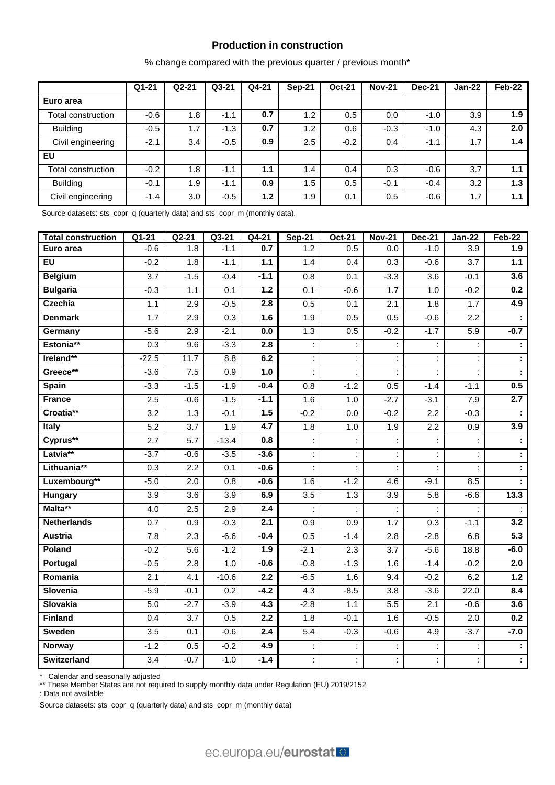# **Production in construction**

% change compared with the previous quarter / previous month\*

|                    | $Q1 - 21$ | $Q2 - 21$ | $Q3-21$ | Q4-21 | Sep-21 | <b>Oct-21</b> | <b>Nov-21</b> | <b>Dec-21</b> | Jan-22 | Feb-22 |
|--------------------|-----------|-----------|---------|-------|--------|---------------|---------------|---------------|--------|--------|
| Euro area          |           |           |         |       |        |               |               |               |        |        |
| Total construction | $-0.6$    | 1.8       | $-1.1$  | 0.7   | 1.2    | 0.5           | 0.0           | $-1.0$        | 3.9    | 1.9    |
| <b>Building</b>    | $-0.5$    | 1.7       | $-1.3$  | 0.7   | 1.2    | 0.6           | $-0.3$        | $-1.0$        | 4.3    | 2.0    |
| Civil engineering  | $-2.1$    | 3.4       | $-0.5$  | 0.9   | 2.5    | $-0.2$        | 0.4           | $-1.1$        | 1.7    | 1.4    |
| EU                 |           |           |         |       |        |               |               |               |        |        |
| Total construction | $-0.2$    | 1.8       | $-1.1$  | 1.1   | 1.4    | 0.4           | 0.3           | $-0.6$        | 3.7    | 1.1    |
| <b>Building</b>    | $-0.1$    | 1.9       | $-1.1$  | 0.9   | 1.5    | 0.5           | $-0.1$        | $-0.4$        | 3.2    | 1.3    |
| Civil engineering  | $-1.4$    | 3.0       | $-0.5$  | 1.2   | 1.9    | 0.1           | 0.5           | $-0.6$        | 1.7    | 1.1    |

Source datasets: [sts\\_copr\\_q](https://ec.europa.eu/eurostat/databrowser/view/STS_COPR_Q__custom_158535/bookmark/table?lang=en&bookmarkId=7c6e762f-9799-4396-aa26-6c2940148fea) (quarterly data) an[d sts\\_copr\\_m](https://ec.europa.eu/eurostat/databrowser/view/STS_COPR_M__custom_158674/bookmark/table?lang=en&bookmarkId=60b28cd2-6f8e-4206-8eed-0a70b77655ef) (monthly data).

| <b>Total construction</b> | $Q1 - 21$        | $Q2-21$          | $Q3-21$          | $Q4-21$ | $Sep-21$         | Oct-21 | <b>Nov-21</b>        | <b>Dec-21</b>    | $Jan-22$ | $Feb-22$         |
|---------------------------|------------------|------------------|------------------|---------|------------------|--------|----------------------|------------------|----------|------------------|
| Euro area                 | $-0.6$           | 1.8              | $-1.1$           | 0.7     | 1.2              | 0.5    | 0.0                  | $-1.0$           | 3.9      | 1.9              |
| <b>EU</b>                 | $-0.2$           | 1.8              | $-1.1$           | 1.1     | 1.4              | 0.4    | 0.3                  | $-0.6$           | 3.7      | 1.1              |
| <b>Belgium</b>            | $\overline{3.7}$ | $-1.5$           | $-0.4$           | $-1.1$  | 0.8              | 0.1    | $-3.3$               | 3.6              | $-0.1$   | 3.6              |
| <b>Bulgaria</b>           | $-0.3$           | 1.1              | 0.1              | 1.2     | 0.1              | $-0.6$ | 1.7                  | 1.0              | $-0.2$   | 0.2              |
| <b>Czechia</b>            | 1.1              | 2.9              | $-0.5$           | 2.8     | 0.5              | 0.1    | 2.1                  | 1.8              | 1.7      | 4.9              |
| <b>Denmark</b>            | 1.7              | 2.9              | 0.3              | 1.6     | 1.9              | 0.5    | 0.5                  | $-0.6$           | 2.2      |                  |
| Germany                   | $-5.6$           | 2.9              | $-2.1$           | $0.0\,$ | 1.3              | 0.5    | $-0.2$               | $-1.7$           | 5.9      | $-0.7$           |
| Estonia**                 | $\overline{0.3}$ | 9.6              | $-3.3$           | 2.8     |                  |        |                      | ÷                |          |                  |
| Ireland**                 | $-22.5$          | 11.7             | 8.8              | 6.2     |                  |        |                      |                  |          |                  |
| Greece**                  | $-3.6$           | $7.5\,$          | 0.9              | 1.0     |                  |        |                      |                  |          |                  |
| <b>Spain</b>              | $-3.3$           | $-1.5$           | $-1.9$           | $-0.4$  | 0.8              | $-1.2$ | 0.5                  | $-1.4$           | $-1.1$   | 0.5              |
| <b>France</b>             | 2.5              | $-0.6$           | $-1.5$           | $-1.1$  | 1.6              | 1.0    | $-2.7$               | $-3.1$           | 7.9      | $\overline{2.7}$ |
| Croatia**                 | 3.2              | 1.3              | $-0.1$           | 1.5     | $-0.2$           | 0.0    | $-0.2$               | 2.2              | $-0.3$   |                  |
| <b>Italy</b>              | $\overline{5.2}$ | 3.7              | 1.9              | 4.7     | 1.8              | 1.0    | 1.9                  | 2.2              | 0.9      | 3.9              |
| Cyprus**                  | 2.7              | 5.7              | $-13.4$          | 0.8     | t,               | İ      |                      |                  |          |                  |
| Latvia**                  | $-3.7$           | $-0.6$           | $-3.5$           | $-3.6$  | t,               | t,     |                      |                  |          |                  |
| Lithuania**               | 0.3              | 2.2              | 0.1              | $-0.6$  | t.               | t,     | $\ddot{\phantom{a}}$ | ÷.               |          |                  |
| Luxembourg**              | $-5.0$           | $\overline{2.0}$ | 0.8              | $-0.6$  | 1.6              | $-1.2$ | 4.6                  | $-9.1$           | 8.5      |                  |
| Hungary                   | $\overline{3.9}$ | $\overline{3.6}$ | $\overline{3.9}$ | 6.9     | $\overline{3.5}$ | 1.3    | $\overline{3.9}$     | $\overline{5.8}$ | $-6.6$   | 13.3             |
| Malta**                   | 4.0              | 2.5              | 2.9              | 2.4     |                  |        |                      |                  |          |                  |
| <b>Netherlands</b>        | 0.7              | 0.9              | $-0.3$           | 2.1     | $\overline{0.9}$ | 0.9    | 1.7                  | 0.3              | $-1.1$   | 3.2              |
| Austria                   | 7.8              | 2.3              | $-6.6$           | $-0.4$  | 0.5              | $-1.4$ | 2.8                  | $-2.8$           | 6.8      | $\overline{5.3}$ |
| Poland                    | $-0.2$           | 5.6              | $-1.2$           | 1.9     | $-2.1$           | 2.3    | 3.7                  | $-5.6$           | 18.8     | $-6.0$           |
| Portugal                  | $-0.5$           | 2.8              | 1.0              | $-0.6$  | $-0.8$           | $-1.3$ | 1.6                  | $-1.4$           | $-0.2$   | 2.0              |
| Romania                   | 2.1              | 4.1              | $-10.6$          | 2.2     | $-6.5$           | 1.6    | 9.4                  | $-0.2$           | 6.2      | 1.2              |
| Slovenia                  | $-5.9$           | $-0.1$           | 0.2              | $-4.2$  | $\overline{4.3}$ | $-8.5$ | 3.8                  | $-3.6$           | 22.0     | 8.4              |
| <b>Slovakia</b>           | $5.0\,$          | $-2.7$           | $-3.9$           | 4.3     | $-2.8$           | 1.1    | 5.5                  | 2.1              | $-0.6$   | 3.6              |
| <b>Finland</b>            | 0.4              | $\overline{3.7}$ | 0.5              | 2.2     | 1.8              | $-0.1$ | 1.6                  | $-0.5$           | 2.0      | 0.2              |
| <b>Sweden</b>             | $\overline{3.5}$ | 0.1              | $-0.6$           | 2.4     | $\overline{5.4}$ | $-0.3$ | $-0.6$               | 4.9              | $-3.7$   | $-7.0$           |
| <b>Norway</b>             | $-1.2$           | 0.5              | $-0.2$           | 4.9     |                  |        |                      |                  |          |                  |
| <b>Switzerland</b>        | 3.4              | $-0.7$           | $-1.0$           | $-1.4$  | t,               | t,     |                      | ÷                |          | ÷,               |

\* Calendar and seasonally adjusted

\*\* These Member States are not required to supply monthly data under Regulation (EU) 2019/2152

: Data not available

Source datasets: [sts\\_copr\\_q](https://ec.europa.eu/eurostat/databrowser/view/STS_COPR_Q__custom_159929/bookmark/table?lang=en&bookmarkId=e341e590-c198-4444-8353-f19ab8bb8f41) (quarterly data) an[d sts\\_copr\\_m](https://ec.europa.eu/eurostat/databrowser/view/STS_COPR_M__custom_158687/bookmark/table?lang=en&bookmarkId=295e1222-d591-4deb-a780-de6948f4e232) (monthly data)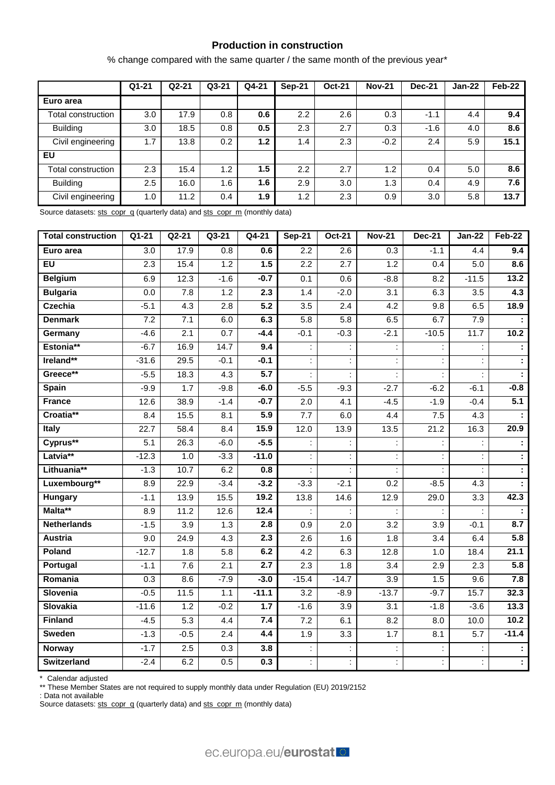# **Production in construction**

% change compared with the same quarter / the same month of the previous year\*

|                    | $Q1 - 21$ | $Q2 - 21$ | $Q3-21$ | Q4-21 | <b>Sep-21</b> | <b>Oct-21</b> | <b>Nov-21</b> | <b>Dec-21</b> | Jan-22 | $Feb-22$ |
|--------------------|-----------|-----------|---------|-------|---------------|---------------|---------------|---------------|--------|----------|
| Euro area          |           |           |         |       |               |               |               |               |        |          |
| Total construction | 3.0       | 17.9      | 0.8     | 0.6   | 2.2           | 2.6           | 0.3           | $-1.1$        | 4.4    | 9.4      |
| <b>Building</b>    | 3.0       | 18.5      | 0.8     | 0.5   | 2.3           | 2.7           | 0.3           | $-1.6$        | 4.0    | 8.6      |
| Civil engineering  | 1.7       | 13.8      | 0.2     | 1.2   | 1.4           | 2.3           | $-0.2$        | 2.4           | 5.9    | 15.1     |
| <b>EU</b>          |           |           |         |       |               |               |               |               |        |          |
| Total construction | 2.3       | 15.4      | 1.2     | 1.5   | 2.2           | 2.7           | 1.2           | 0.4           | 5.0    | 8.6      |
| <b>Building</b>    | 2.5       | 16.0      | 1.6     | 1.6   | 2.9           | 3.0           | 1.3           | 0.4           | 4.9    | 7.6      |
| Civil engineering  | 1.0       | 11.2      | 0.4     | 1.9   | 1.2           | 2.3           | 0.9           | 3.0           | 5.8    | 13.7     |

Source datasets: [sts\\_copr\\_q](https://ec.europa.eu/eurostat/databrowser/view/STS_COPR_Q__custom_158566/bookmark/table?lang=en&bookmarkId=2b746e4d-6fce-4462-ba6c-74b58167eaac) (quarterly data) an[d sts\\_copr\\_m](https://ec.europa.eu/eurostat/databrowser/view/STS_COPR_M__custom_158705/bookmark/table?lang=en&bookmarkId=6facc7a5-33df-4d12-9789-4464ac822444) (monthly data)

| <b>Total construction</b> | Q1-21            | $Q2-21$          | Q3-21            | Q4-21            | <b>Sep-21</b> | <b>Oct-21</b>    | <b>Nov-21</b>        | <b>Dec-21</b> | <b>Jan-22</b>    | Feb-22                |
|---------------------------|------------------|------------------|------------------|------------------|---------------|------------------|----------------------|---------------|------------------|-----------------------|
| Euro area                 | 3.0              | 17.9             | 0.8              | 0.6              | 2.2           | 2.6              | 0.3                  | $-1.1$        | 4.4              | 9.4                   |
| $E$ U                     | 2.3              | 15.4             | $1.2$            | 1.5              | 2.2           | 2.7              | 1.2                  | 0.4           | 5.0              | 8.6                   |
| <b>Belgium</b>            | 6.9              | 12.3             | $-1.6$           | $-0.7$           | 0.1           | 0.6              | $-8.8$               | 8.2           | $-11.5$          | 13.2                  |
| <b>Bulgaria</b>           | $\overline{0.0}$ | 7.8              | 1.2              | $\overline{2.3}$ | 1.4           | $-2.0$           | 3.1                  | 6.3           | $\overline{3.5}$ | 4.3                   |
| <b>Czechia</b>            | $-5.1$           | 4.3              | 2.8              | $\overline{5.2}$ | 3.5           | $\overline{2.4}$ | 4.2                  | 9.8           | 6.5              | 18.9                  |
| <b>Denmark</b>            | 7.2              | 7.1              | 6.0              | 6.3              | 5.8           | 5.8              | 6.5                  | 6.7           | 7.9              | $\mathbf{r}$          |
| Germany                   | $-4.6$           | 2.1              | 0.7              | $-4.4$           | $-0.1$        | $-0.3$           | $-2.1$               | $-10.5$       | 11.7             | 10.2                  |
| Estonia**                 | $-6.7$           | 16.9             | 14.7             | 9.4              |               |                  | $\ddot{\cdot}$       |               |                  | $\ddot{\phantom{a}}$  |
| Ireland**                 | $-31.6$          | 29.5             | $-0.1$           | $-0.1$           |               |                  | $\ddot{\phantom{a}}$ |               |                  | Ŧ                     |
| Greece**                  | $-5.5$           | 18.3             | 4.3              | 5.7              | ÷             | ÷                | $\ddot{\phantom{a}}$ | ÷             |                  | Ŧ                     |
| Spain                     | $-9.9$           | 1.7              | $-9.8$           | $-6.0$           | $-5.5$        | $-9.3$           | $-2.7$               | $-6.2$        | $-6.1$           | $-0.8$                |
| <b>France</b>             | 12.6             | 38.9             | $-1.4$           | $-0.7$           | 2.0           | 4.1              | $-4.5$               | $-1.9$        | $-0.4$           | 5.1                   |
| Croatia**                 | 8.4              | 15.5             | 8.1              | 5.9              | 7.7           | 6.0              | 4.4                  | 7.5           | 4.3              |                       |
| Italy                     | 22.7             | 58.4             | 8.4              | 15.9             | 12.0          | 13.9             | 13.5                 | 21.2          | 16.3             | 20.9                  |
| Cyprus**                  | 5.1              | 26.3             | $-6.0$           | $-5.5$           |               |                  | $\ddot{\phantom{a}}$ |               |                  | $\mathbb{Z}^{\times}$ |
| Latvia**                  | $-12.3$          | 1.0              | $-3.3$           | $-11.0$          |               |                  |                      |               |                  | $\ddot{\phantom{a}}$  |
| Lithuania**               | $-1.3$           | 10.7             | 6.2              | 0.8              |               |                  |                      |               |                  | Ŧ                     |
| Luxembourg**              | 8.9              | 22.9             | $-3.4$           | $-3.2$           | $-3.3$        | $-2.1$           | 0.2                  | $-8.5$        | 4.3              |                       |
| Hungary                   | $-1.1$           | 13.9             | 15.5             | 19.2             | 13.8          | 14.6             | 12.9                 | 29.0          | $\overline{3.3}$ | 42.3                  |
| Malta**                   | 8.9              | 11.2             | 12.6             | 12.4             |               |                  |                      |               |                  |                       |
| <b>Netherlands</b>        | $-1.5$           | 3.9              | 1.3              | 2.8              | 0.9           | 2.0              | 3.2                  | 3.9           | $-0.1$           | 8.7                   |
| Austria                   | 9.0              | 24.9             | 4.3              | $\overline{2.3}$ | 2.6           | 1.6              | 1.8                  | 3.4           | 6.4              | $\overline{5.8}$      |
| Poland                    | $-12.7$          | 1.8              | 5.8              | 6.2              | 4.2           | 6.3              | 12.8                 | 1.0           | 18.4             | 21.1                  |
| Portugal                  | $-1.1$           | 7.6              | 2.1              | 2.7              | 2.3           | 1.8              | 3.4                  | 2.9           | 2.3              | 5.8                   |
| Romania                   | 0.3              | 8.6              | $-7.9$           | $-3.0$           | $-15.4$       | $-14.7$          | 3.9                  | 1.5           | 9.6              | 7.8                   |
| Slovenia                  | $-0.5$           | 11.5             | 1.1              | $-11.1$          | 3.2           | $-8.9$           | $-13.7$              | $-9.7$        | 15.7             | 32.3                  |
| <b>Slovakia</b>           | $-11.6$          | 1.2              | $-0.2$           | 1.7              | $-1.6$        | 3.9              | 3.1                  | $-1.8$        | $-3.6$           | 13.3                  |
| <b>Finland</b>            | $-4.5$           | $\overline{5.3}$ | 4.4              | 7.4              | 7.2           | 6.1              | 8.2                  | 8.0           | 10.0             | 10.2                  |
| <b>Sweden</b>             | $-1.3$           | $-0.5$           | $\overline{2.4}$ | 4.4              | 1.9           | $\overline{3.3}$ | 1.7                  | 8.1           | $\overline{5.7}$ | $-11.4$               |
| <b>Norway</b>             | $-1.7$           | 2.5              | 0.3              | 3.8              |               |                  |                      |               |                  |                       |
| <b>Switzerland</b>        | $-2.4$           | 6.2              | 0.5              | 0.3              | t,            | İ.               |                      |               |                  | Ŧ                     |

\* Calendar adjusted

\*\* These Member States are not required to supply monthly data under Regulation (EU) 2019/2152

: Data not available

Source datasets: [sts\\_copr\\_q](https://ec.europa.eu/eurostat/databrowser/view/STS_COPR_Q__custom_158599/bookmark/table?lang=en&bookmarkId=40b979a7-689f-4ab3-a86c-21e29a8d5a83) (quarterly data) an[d sts\\_copr\\_m](https://ec.europa.eu/eurostat/databrowser/view/STS_COPR_M__custom_158723/bookmark/table?lang=en&bookmarkId=c10d2eac-0470-4449-a3e2-2b04fd75a8f1) (monthly data)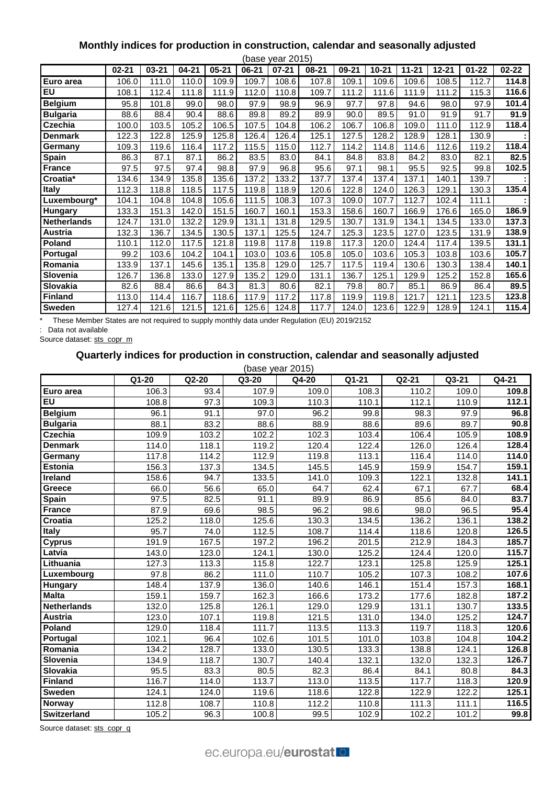# **Monthly indices for production in construction, calendar and seasonally adjusted**

|                    |           |           |           |           |           | (base year 2015) |           |           |           |           |           |           |           |
|--------------------|-----------|-----------|-----------|-----------|-----------|------------------|-----------|-----------|-----------|-----------|-----------|-----------|-----------|
|                    | $02 - 21$ | $03 - 21$ | $04 - 21$ | $05 - 21$ | $06 - 21$ | $07 - 21$        | $08 - 21$ | $09 - 21$ | $10 - 21$ | $11 - 21$ | $12 - 21$ | $01 - 22$ | $02 - 22$ |
| Euro area          | 106.0     | 111.0     | 110.0     | 109.9     | 109.7     | 108.6            | 107.8     | 109.1     | 109.6     | 109.6     | 108.5     | 112.7     | 114.8     |
| $E$ U              | 108.1     | 112.4     | 111.8     | 111.9     | 112.0     | 110.8            | 109.7     | 111.2     | 111.6     | 111.9     | 111.2     | 115.3     | 116.6     |
| <b>Belgium</b>     | 95.8      | 101.8     | 99.0      | 98.0      | 97.9      | 98.9             | 96.9      | 97.7      | 97.8      | 94.6      | 98.0      | 97.9      | 101.4     |
| <b>Bulgaria</b>    | 88.6      | 88.4      | 90.4      | 88.6      | 89.8      | 89.2             | 89.9      | 90.0      | 89.5      | 91.0      | 91.9      | 91.7      | 91.9      |
| <b>Czechia</b>     | 100.0     | 103.5     | 105.2     | 106.5     | 107.5     | 104.8            | 106.2     | 106.7     | 106.8     | 109.0     | 111.0     | 112.9     | 118.4     |
| <b>Denmark</b>     | 122.3     | 122.8     | 125.9     | 125.8     | 126.4     | 126.4            | 125.1     | 127.5     | 128.2     | 128.9     | 128.1     | 130.9     |           |
| Germany            | 109.3     | 119.6     | 116.4     | 117.2     | 115.5     | 115.0            | 112.7     | 114.2     | 114.8     | 114.6     | 112.6     | 119.2     | 118.4     |
| Spain              | 86.3      | 87.1      | 87.1      | 86.2      | 83.5      | 83.0             | 84.1      | 84.8      | 83.8      | 84.2      | 83.0      | 82.1      | 82.5      |
| <b>France</b>      | 97.5      | 97.5      | 97.4      | 98.8      | 97.9      | 96.8             | 95.6      | 97.1      | 98.1      | 95.5      | 92.5      | 99.8      | 102.5     |
| Croatia*           | 134.6     | 134.9     | 135.8     | 135.6     | 137.2     | 133.2            | 137.7     | 137.4     | 137.4     | 137.1     | 140.1     | 139.7     |           |
| Italy              | 112.3     | 118.8     | 118.5     | 117.5     | 119.8     | 118.9            | 120.6     | 122.8     | 124.0     | 126.3     | 129.1     | 130.3     | 135.4     |
| Luxembourg*        | 104.1     | 104.8     | 104.8     | 105.6     | 111.5     | 108.3            | 107.3     | 109.0     | 107.7     | 112.7     | 102.4     | 111.1     |           |
| Hungary            | 133.3     | 151.3     | 142.0     | 151.5     | 160.7     | 160.1            | 153.3     | 158.6     | 160.7     | 166.9     | 176.6     | 165.0     | 186.9     |
| <b>Netherlands</b> | 124.7     | 131.0     | 132.2     | 129.9     | 131.1     | 131.8            | 129.5     | 130.7     | 131.9     | 134.1     | 134.5     | 133.0     | 137.3     |
| Austria            | 132.3     | 136.7     | 134.5     | 130.5     | 137.1     | 125.5            | 124.7     | 125.3     | 123.5     | 127.0     | 123.5     | 131.9     | 138.9     |
| <b>Poland</b>      | 110.1     | 112.0     | 117.5     | 121.8     | 119.8     | 117.8            | 119.8     | 117.3     | 120.0     | 124.4     | 117.4     | 139.5     | 131.1     |
| Portugal           | 99.2      | 103.6     | 104.2     | 104.1     | 103.0     | 103.6            | 105.8     | 105.0     | 103.6     | 105.3     | 103.8     | 103.6     | 105.7     |
| Romania            | 133.9     | 137.1     | 145.6     | 135.1     | 135.8     | 129.0            | 125.7     | 117.5     | 119.4     | 130.6     | 130.3     | 138.4     | 140.1     |
| Slovenia           | 126.7     | 136.8     | 133.0     | 127.9     | 135.2     | 129.0            | 131.1     | 136.7     | 125.1     | 129.9     | 125.2     | 152.8     | 165.6     |
| Slovakia           | 82.6      | 88.4      | 86.6      | 84.3      | 81.3      | 80.6             | 82.1      | 79.8      | 80.7      | 85.1      | 86.9      | 86.4      | 89.5      |
| <b>Finland</b>     | 113.0     | 114.4     | 116.7     | 118.6     | 117.9     | 117.2            | 117.8     | 119.9     | 119.8     | 121.7     | 121.1     | 123.5     | 123.8     |
| <b>Sweden</b>      | 127.4     | 121.6     | 121.5     | 121.6     | 125.6     | 124.8            | 117.7     | 124.0     | 123.6     | 122.9     | 128.9     | 124.1     | 115.4     |

\* These Member States are not required to supply monthly data under Regulation (EU) 2019/2152

: Data not available

Source dataset: [sts\\_copr\\_m](https://ec.europa.eu/eurostat/databrowser/view/STS_COPR_M__custom_158737/bookmark/table?lang=en&bookmarkId=cea89800-e18a-4ff7-a563-ab7cf607c64e)

# **Quarterly indices for production in construction, calendar and seasonally adjusted**

| (base year 2015)   |       |                   |         |       |       |                    |       |                    |  |  |  |  |
|--------------------|-------|-------------------|---------|-------|-------|--------------------|-------|--------------------|--|--|--|--|
|                    | Q1-20 | $Q2-20$           | $Q3-20$ | Q4-20 | Q1-21 | $\overline{Q2-21}$ | Q3-21 | Q4-21              |  |  |  |  |
| Euro area          | 106.3 | 93.4              | 107.9   | 109.0 | 108.3 | 110.2              | 109.0 | 109.8              |  |  |  |  |
| <b>EU</b>          | 108.8 | $\overline{97.3}$ | 109.3   | 110.3 | 110.1 | 112.1              | 110.9 | 112.1              |  |  |  |  |
| <b>Belgium</b>     | 96.1  | 91.1              | 97.0    | 96.2  | 99.8  | 98.3               | 97.9  | 96.8               |  |  |  |  |
| <b>Bulgaria</b>    | 88.1  | 83.2              | 88.6    | 88.9  | 88.6  | 89.6               | 89.7  | 90.8               |  |  |  |  |
| <b>Czechia</b>     | 109.9 | 103.2             | 102.2   | 102.3 | 103.4 | 106.4              | 105.9 | 108.9              |  |  |  |  |
| <b>Denmark</b>     | 114.0 | 118.1             | 119.2   | 120.4 | 122.4 | 126.0              | 126.4 | 128.4              |  |  |  |  |
| Germany            | 117.8 | 114.2             | 112.9   | 119.8 | 113.1 | 116.4              | 114.0 | 114.0              |  |  |  |  |
| <b>Estonia</b>     | 156.3 | 137.3             | 134.5   | 145.5 | 145.9 | 159.9              | 154.7 | 159.1              |  |  |  |  |
| Ireland            | 158.6 | 94.7              | 133.5   | 141.0 | 109.3 | 122.1              | 132.8 | 141.1              |  |  |  |  |
| Greece             | 66.0  | 56.6              | 65.0    | 64.7  | 62.4  | 67.1               | 67.7  | 68.4               |  |  |  |  |
| <b>Spain</b>       | 97.5  | 82.5              | 91.1    | 89.9  | 86.9  | 85.6               | 84.0  | 83.7               |  |  |  |  |
| <b>France</b>      | 87.9  | 69.6              | 98.5    | 96.2  | 98.6  | 98.0               | 96.5  | 95.4               |  |  |  |  |
| Croatia            | 125.2 | 118.0             | 125.6   | 130.3 | 134.5 | 136.2              | 136.1 | 138.2              |  |  |  |  |
| <b>Italy</b>       | 95.7  | 74.0              | 112.5   | 108.7 | 114.4 | 118.6              | 120.8 | 126.5              |  |  |  |  |
| <b>Cyprus</b>      | 191.9 | 167.5             | 197.2   | 196.2 | 201.5 | 212.9              | 184.3 | 185.7              |  |  |  |  |
| Latvia             | 143.0 | 123.0             | 124.1   | 130.0 | 125.2 | 124.4              | 120.0 | 115.7              |  |  |  |  |
| Lithuania          | 127.3 | 113.3             | 115.8   | 122.7 | 123.1 | 125.8              | 125.9 | 125.1              |  |  |  |  |
| Luxembourg         | 97.8  | 86.2              | 111.0   | 110.7 | 105.2 | 107.3              | 108.2 | 107.6              |  |  |  |  |
| <b>Hungary</b>     | 148.4 | 137.9             | 136.0   | 140.6 | 146.1 | 151.4              | 157.3 | 168.1              |  |  |  |  |
| <b>Malta</b>       | 159.1 | 159.7             | 162.3   | 166.6 | 173.2 | 177.6              | 182.8 | $\overline{187.2}$ |  |  |  |  |
| <b>Netherlands</b> | 132.0 | 125.8             | 126.1   | 129.0 | 129.9 | 131.1              | 130.7 | 133.5              |  |  |  |  |
| <b>Austria</b>     | 123.0 | 107.1             | 119.8   | 121.5 | 131.0 | 134.0              | 125.2 | 124.7              |  |  |  |  |
| Poland             | 129.0 | 118.4             | 111.7   | 113.5 | 113.3 | 119.7              | 118.3 | 120.6              |  |  |  |  |
| Portugal           | 102.1 | 96.4              | 102.6   | 101.5 | 101.0 | 103.8              | 104.8 | 104.2              |  |  |  |  |
| Romania            | 134.2 | 128.7             | 133.0   | 130.5 | 133.3 | 138.8              | 124.1 | 126.8              |  |  |  |  |
| Slovenia           | 134.9 | 118.7             | 130.7   | 140.4 | 132.1 | 132.0              | 132.3 | 126.7              |  |  |  |  |
| <b>Slovakia</b>    | 95.5  | 83.3              | 80.5    | 82.3  | 86.4  | 84.1               | 80.8  | 84.3               |  |  |  |  |
| <b>Finland</b>     | 116.7 | 114.0             | 113.7   | 113.0 | 113.5 | 117.7              | 118.3 | 120.9              |  |  |  |  |
| Sweden             | 124.1 | 124.0             | 119.6   | 118.6 | 122.8 | 122.9              | 122.2 | 125.1              |  |  |  |  |
| <b>Norway</b>      | 112.8 | 108.7             | 110.8   | 112.2 | 110.8 | 111.3              | 111.1 | 116.5              |  |  |  |  |
| Switzerland        | 105.2 | 96.3              | 100.8   | 99.5  | 102.9 | 102.2              | 101.2 | 99.8               |  |  |  |  |

Source dataset: [sts\\_copr\\_q](https://ec.europa.eu/eurostat/databrowser/view/STS_COPR_Q__custom_158616/bookmark/table?lang=en&bookmarkId=fc37607c-7b6a-4d9f-9304-5d84be8df31f)